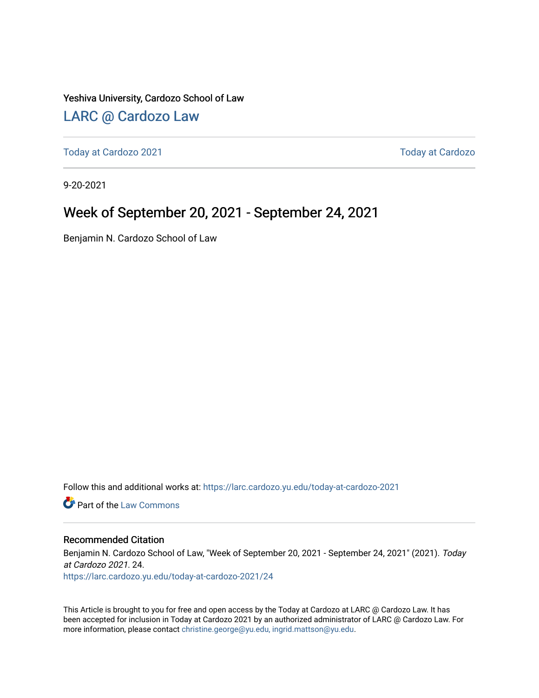#### Yeshiva University, Cardozo School of Law

#### [LARC @ Cardozo Law](https://larc.cardozo.yu.edu/)

[Today at Cardozo 2021](https://larc.cardozo.yu.edu/today-at-cardozo-2021) **Today at Cardozo** 2021

9-20-2021

#### Week of September 20, 2021 - September 24, 2021

Benjamin N. Cardozo School of Law

Follow this and additional works at: [https://larc.cardozo.yu.edu/today-at-cardozo-2021](https://larc.cardozo.yu.edu/today-at-cardozo-2021?utm_source=larc.cardozo.yu.edu%2Ftoday-at-cardozo-2021%2F24&utm_medium=PDF&utm_campaign=PDFCoverPages)

**C** Part of the [Law Commons](http://network.bepress.com/hgg/discipline/578?utm_source=larc.cardozo.yu.edu%2Ftoday-at-cardozo-2021%2F24&utm_medium=PDF&utm_campaign=PDFCoverPages)

#### Recommended Citation

Benjamin N. Cardozo School of Law, "Week of September 20, 2021 - September 24, 2021" (2021). Today at Cardozo 2021. 24.

[https://larc.cardozo.yu.edu/today-at-cardozo-2021/24](https://larc.cardozo.yu.edu/today-at-cardozo-2021/24?utm_source=larc.cardozo.yu.edu%2Ftoday-at-cardozo-2021%2F24&utm_medium=PDF&utm_campaign=PDFCoverPages) 

This Article is brought to you for free and open access by the Today at Cardozo at LARC @ Cardozo Law. It has been accepted for inclusion in Today at Cardozo 2021 by an authorized administrator of LARC @ Cardozo Law. For more information, please contact [christine.george@yu.edu, ingrid.mattson@yu.edu](mailto:christine.george@yu.edu,%20ingrid.mattson@yu.edu).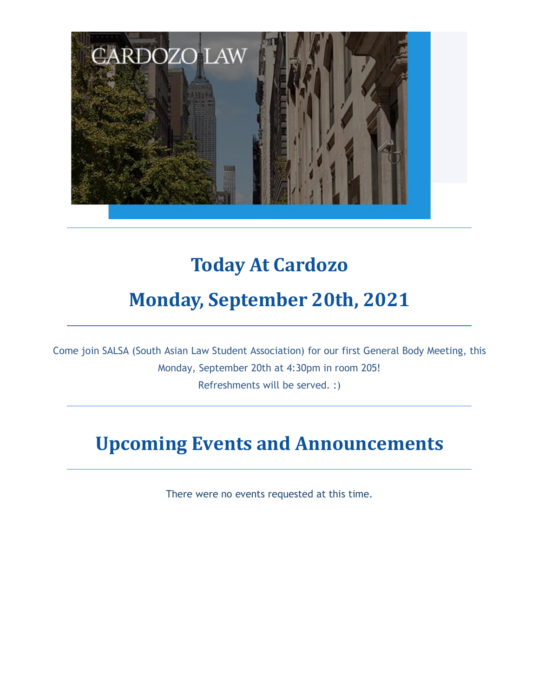

### **Today At Cardozo**

#### **Monday, September 20th, 2021**

Come join SALSA (South Asian Law Student Association) for our first General Body Meeting, this Monday, September 20th at 4:30pm in room 205! Refreshments will be served. :)

#### **Upcoming Events and Announcements**

There were no events requested at this time.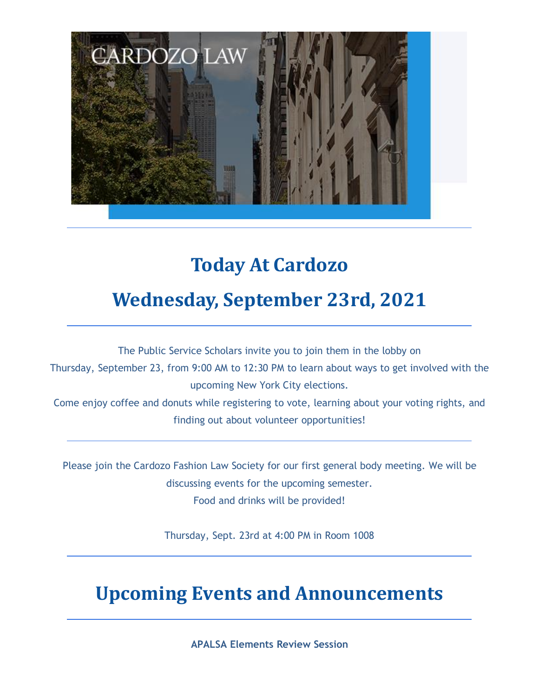

## **Today At Cardozo**

### **Wednesday, September 23rd, 2021**

The Public Service Scholars invite you to join them in the lobby on

Thursday, September 23, from 9:00 AM to 12:30 PM to learn about ways to get involved with the upcoming New York City elections.

Come enjoy coffee and donuts while registering to vote, learning about your voting rights, and finding out about volunteer opportunities!

Please join the Cardozo Fashion Law Society for our first general body meeting. We will be discussing events for the upcoming semester. Food and drinks will be provided!

Thursday, Sept. 23rd at 4:00 PM in Room 1008

### **Upcoming Events and Announcements**

**APALSA Elements Review Session**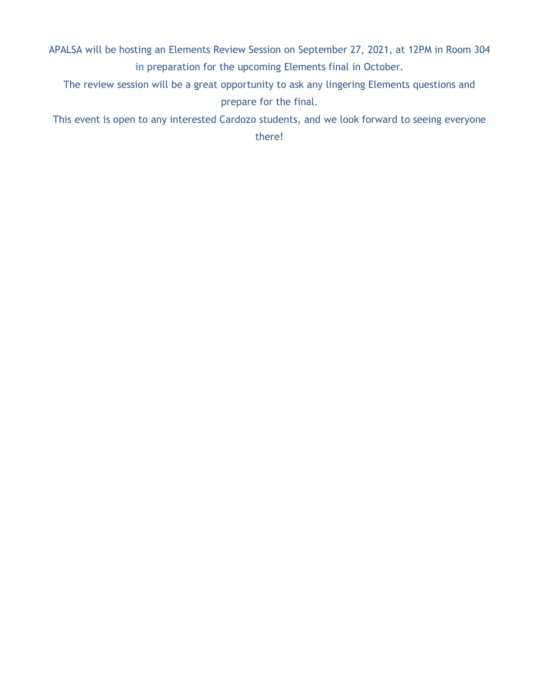APALSA will be hosting an Elements Review Session on September 27, 2021, at 12PM in Room 304 in preparation for the upcoming Elements final in October.

The review session will be a great opportunity to ask any lingering Elements questions and prepare for the final.

This event is open to any interested Cardozo students, and we look forward to seeing everyone

there!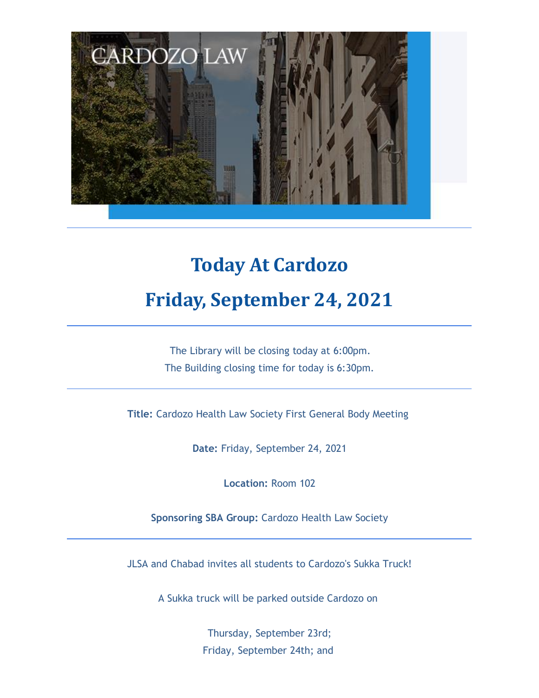

# **Today At Cardozo Friday, September 24, 2021**

The Library will be closing today at 6:00pm. The Building closing time for today is 6:30pm.

**Title:** Cardozo Health Law Society First General Body Meeting

**Date:** Friday, September 24, 2021

**Location:** Room 102

**Sponsoring SBA Group:** Cardozo Health Law Society

JLSA and Chabad invites all students to Cardozo's Sukka Truck!

A Sukka truck will be parked outside Cardozo on

Thursday, September 23rd; Friday, September 24th; and